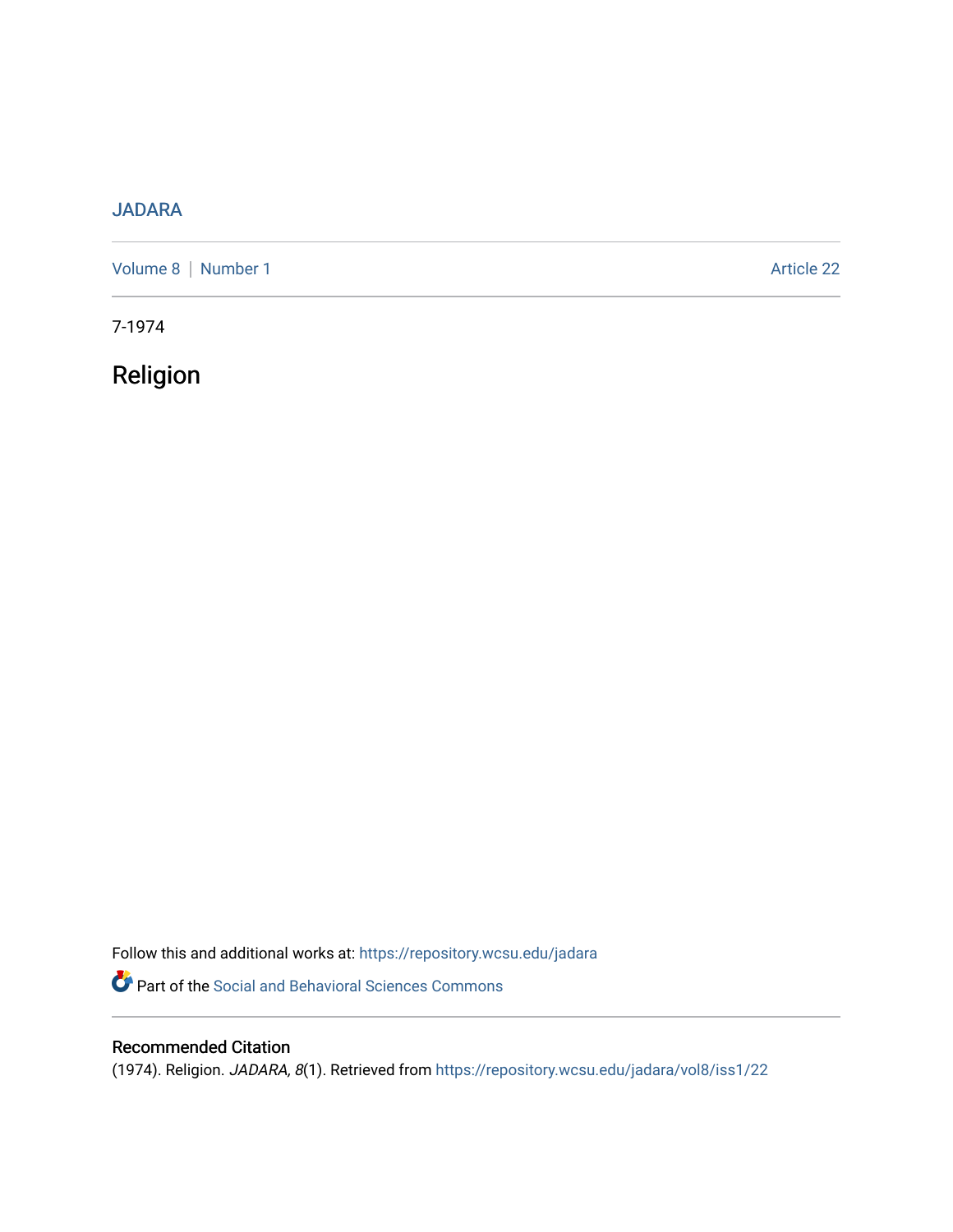## [JADARA](https://repository.wcsu.edu/jadara)

[Volume 8](https://repository.wcsu.edu/jadara/vol8) | [Number 1](https://repository.wcsu.edu/jadara/vol8/iss1) Article 22

7-1974

Religion

Follow this and additional works at: [https://repository.wcsu.edu/jadara](https://repository.wcsu.edu/jadara?utm_source=repository.wcsu.edu%2Fjadara%2Fvol8%2Fiss1%2F22&utm_medium=PDF&utm_campaign=PDFCoverPages) Part of the [Social and Behavioral Sciences Commons](http://network.bepress.com/hgg/discipline/316?utm_source=repository.wcsu.edu%2Fjadara%2Fvol8%2Fiss1%2F22&utm_medium=PDF&utm_campaign=PDFCoverPages) 

## Recommended Citation

(1974). Religion. JADARA, 8(1). Retrieved from [https://repository.wcsu.edu/jadara/vol8/iss1/22](https://repository.wcsu.edu/jadara/vol8/iss1/22?utm_source=repository.wcsu.edu%2Fjadara%2Fvol8%2Fiss1%2F22&utm_medium=PDF&utm_campaign=PDFCoverPages)